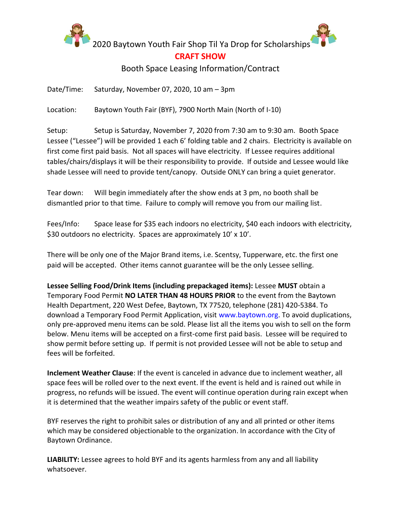

2020 Baytown Youth Fair Shop Til Ya Drop for Scholarships

## **CRAFT SHOW**

## Booth Space Leasing Information/Contract

Date/Time: Saturday, November 07, 2020, 10 am – 3pm

Location: Baytown Youth Fair (BYF), 7900 North Main (North of I-10)

Setup: Setup is Saturday, November 7, 2020 from 7:30 am to 9:30 am. Booth Space Lessee ("Lessee") will be provided 1 each 6' folding table and 2 chairs. Electricity is available on first come first paid basis. Not all spaces will have electricity. If Lessee requires additional tables/chairs/displays it will be their responsibility to provide. If outside and Lessee would like shade Lessee will need to provide tent/canopy. Outside ONLY can bring a quiet generator.

Tear down: Will begin immediately after the show ends at 3 pm, no booth shall be dismantled prior to that time. Failure to comply will remove you from our mailing list.

Fees/Info: Space lease for \$35 each indoors no electricity, \$40 each indoors with electricity, \$30 outdoors no electricity. Spaces are approximately 10' x 10'.

There will be only one of the Major Brand items, i.e. Scentsy, Tupperware, etc. the first one paid will be accepted. Other items cannot guarantee will be the only Lessee selling.

**Lessee Selling Food/Drink Items (including prepackaged items):** Lessee **MUST** obtain a Temporary Food Permit **NO LATER THAN 48 HOURS PRIOR** to the event from the Baytown Health Department, 220 West Defee, Baytown, TX 77520, telephone (281) 420-5384. To download a Temporary Food Permit Application, visit www.baytown.org. To avoid duplications, only pre-approved menu items can be sold. Please list all the items you wish to sell on the form below. Menu items will be accepted on a first-come first paid basis. Lessee will be required to show permit before setting up. If permit is not provided Lessee will not be able to setup and fees will be forfeited.

**Inclement Weather Clause**: If the event is canceled in advance due to inclement weather, all space fees will be rolled over to the next event. If the event is held and is rained out while in progress, no refunds will be issued. The event will continue operation during rain except when it is determined that the weather impairs safety of the public or event staff.

BYF reserves the right to prohibit sales or distribution of any and all printed or other items which may be considered objectionable to the organization. In accordance with the City of Baytown Ordinance.

**LIABILITY:** Lessee agrees to hold BYF and its agents harmless from any and all liability whatsoever.